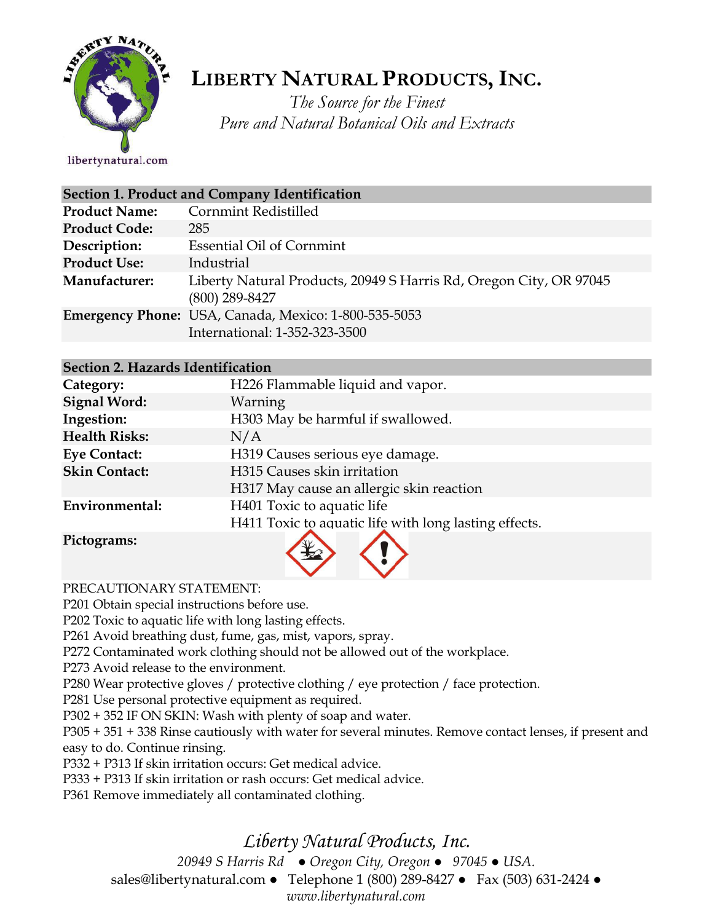

# **LIBERTY NATURAL PRODUCTS,INC.**

*The Source for the Finest Pure and Natural Botanical Oils and Extracts*

libertynatural.com

| Section 1. Product and Company Identification |                                                                                        |  |
|-----------------------------------------------|----------------------------------------------------------------------------------------|--|
| <b>Product Name:</b>                          | <b>Cornmint Redistilled</b>                                                            |  |
| <b>Product Code:</b>                          | 285                                                                                    |  |
| Description:                                  | <b>Essential Oil of Cornmint</b>                                                       |  |
| <b>Product Use:</b>                           | Industrial                                                                             |  |
| Manufacturer:                                 | Liberty Natural Products, 20949 S Harris Rd, Oregon City, OR 97045<br>$(800)$ 289-8427 |  |
|                                               | Emergency Phone: USA, Canada, Mexico: 1-800-535-5053<br>International: 1-352-323-3500  |  |

## **Section 2. Hazards Identification**

| Category:            | H226 Flammable liquid and vapor.                      |
|----------------------|-------------------------------------------------------|
| <b>Signal Word:</b>  | Warning                                               |
| Ingestion:           | H303 May be harmful if swallowed.                     |
| <b>Health Risks:</b> | N/A                                                   |
| <b>Eye Contact:</b>  | H319 Causes serious eye damage.                       |
| <b>Skin Contact:</b> | H315 Causes skin irritation                           |
|                      | H317 May cause an allergic skin reaction              |
| Environmental:       | H401 Toxic to aquatic life                            |
|                      | H411 Toxic to aquatic life with long lasting effects. |
| Pictograms:          |                                                       |

PRECAUTIONARY STATEMENT:

P201 Obtain special instructions before use.

P202 Toxic to aquatic life with long lasting effects.

P261 Avoid breathing dust, fume, gas, mist, vapors, spray.

P272 Contaminated work clothing should not be allowed out of the workplace.

P273 Avoid release to the environment.

P280 Wear protective gloves / protective clothing / eye protection / face protection.

P281 Use personal protective equipment as required.

P302 + 352 IF ON SKIN: Wash with plenty of soap and water.

P305 + 351 + 338 Rinse cautiously with water for several minutes. Remove contact lenses, if present and easy to do. Continue rinsing.

P332 + P313 If skin irritation occurs: Get medical advice.

P333 + P313 If skin irritation or rash occurs: Get medical advice.

P361 Remove immediately all contaminated clothing.

## *Liberty Natural Products, Inc.*

*20949 S Harris Rd ● Oregon City, Oregon ● 97045 ● USA.* 

sales@libertynatural.com *●* Telephone 1 (800) 289-8427 ● Fax (503) 631-2424 *●*

*www.libertynatural.com*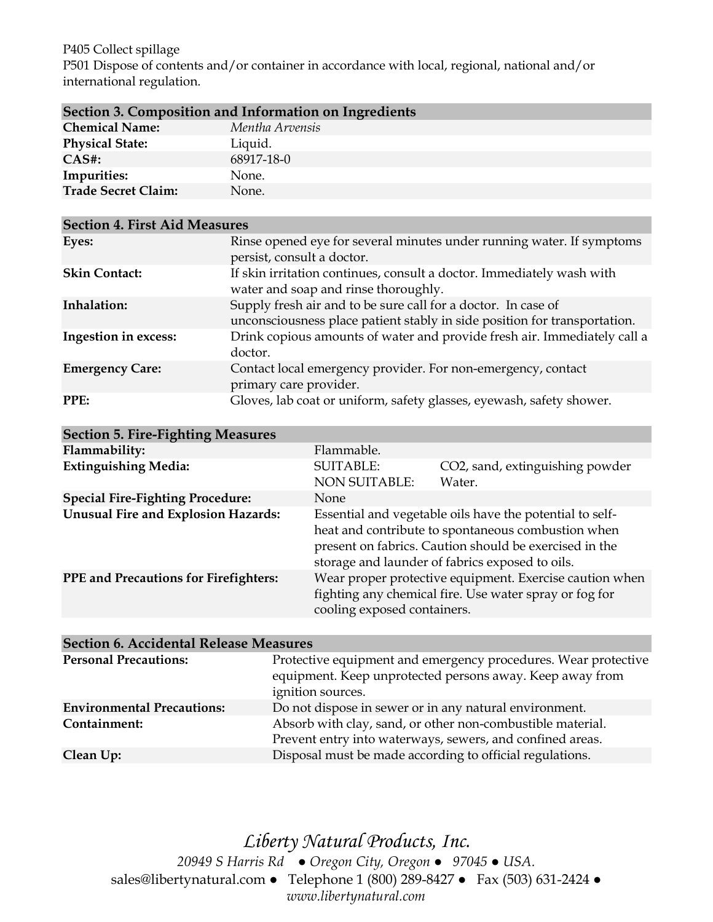### P405 Collect spillage

P501 Dispose of contents and/or container in accordance with local, regional, national and/or international regulation.

| Section 3. Composition and Information on Ingredients |                 |  |
|-------------------------------------------------------|-----------------|--|
| <b>Chemical Name:</b>                                 | Mentha Arvensis |  |
| <b>Physical State:</b>                                | Liquid.         |  |
| $CAS#$ :                                              | 68917-18-0      |  |
| Impurities:                                           | None.           |  |
| Trade Secret Claim:                                   | None.           |  |

| <b>Section 4. First Aid Measures</b> |                                                                                                                                            |  |
|--------------------------------------|--------------------------------------------------------------------------------------------------------------------------------------------|--|
| Eyes:                                | Rinse opened eye for several minutes under running water. If symptoms<br>persist, consult a doctor.                                        |  |
| <b>Skin Contact:</b>                 | If skin irritation continues, consult a doctor. Immediately wash with<br>water and soap and rinse thoroughly.                              |  |
| Inhalation:                          | Supply fresh air and to be sure call for a doctor. In case of<br>unconsciousness place patient stably in side position for transportation. |  |
| Ingestion in excess:                 | Drink copious amounts of water and provide fresh air. Immediately call a<br>doctor.                                                        |  |
| <b>Emergency Care:</b>               | Contact local emergency provider. For non-emergency, contact<br>primary care provider.                                                     |  |
| PPE:                                 | Gloves, lab coat or uniform, safety glasses, eyewash, safety shower.                                                                       |  |

| <b>Section 5. Fire-Fighting Measures</b>     |                                          |                                                                                                                                                                                                                             |
|----------------------------------------------|------------------------------------------|-----------------------------------------------------------------------------------------------------------------------------------------------------------------------------------------------------------------------------|
| Flammability:                                | Flammable.                               |                                                                                                                                                                                                                             |
| <b>Extinguishing Media:</b>                  | <b>SUITABLE:</b><br><b>NON SUITABLE:</b> | CO2, sand, extinguishing powder<br>Water.                                                                                                                                                                                   |
| <b>Special Fire-Fighting Procedure:</b>      | <b>None</b>                              |                                                                                                                                                                                                                             |
| <b>Unusual Fire and Explosion Hazards:</b>   |                                          | Essential and vegetable oils have the potential to self-<br>heat and contribute to spontaneous combustion when<br>present on fabrics. Caution should be exercised in the<br>storage and launder of fabrics exposed to oils. |
| <b>PPE</b> and Precautions for Firefighters: | cooling exposed containers.              | Wear proper protective equipment. Exercise caution when<br>fighting any chemical fire. Use water spray or fog for                                                                                                           |

| <b>Section 6. Accidental Release Measures</b> |                                                                                                                                                 |  |
|-----------------------------------------------|-------------------------------------------------------------------------------------------------------------------------------------------------|--|
| <b>Personal Precautions:</b>                  | Protective equipment and emergency procedures. Wear protective<br>equipment. Keep unprotected persons away. Keep away from<br>ignition sources. |  |
| <b>Environmental Precautions:</b>             | Do not dispose in sewer or in any natural environment.                                                                                          |  |
| Containment:                                  | Absorb with clay, sand, or other non-combustible material.<br>Prevent entry into waterways, sewers, and confined areas.                         |  |
| Clean Up:                                     | Disposal must be made according to official regulations.                                                                                        |  |

*Liberty Natural Products, Inc. 20949 S Harris Rd ● Oregon City, Oregon ● 97045 ● USA.*  sales@libertynatural.com *●* Telephone 1 (800) 289-8427 ● Fax (503) 631-2424 *● www.libertynatural.com*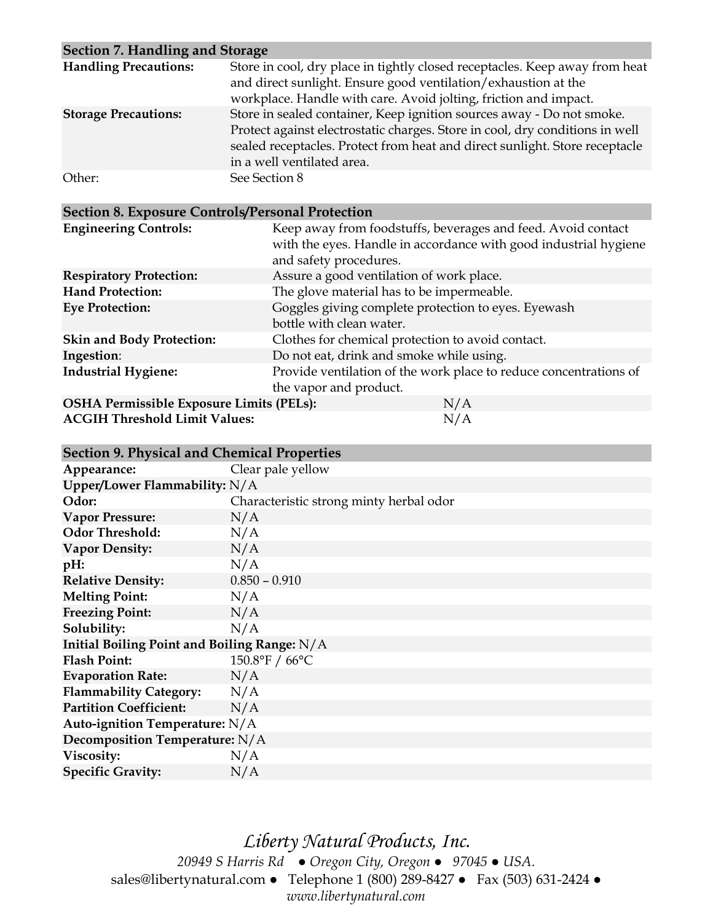| Section 7. Handling and Storage |                                                                                                                                                                                                                                                                    |
|---------------------------------|--------------------------------------------------------------------------------------------------------------------------------------------------------------------------------------------------------------------------------------------------------------------|
| <b>Handling Precautions:</b>    | Store in cool, dry place in tightly closed receptacles. Keep away from heat<br>and direct sunlight. Ensure good ventilation/exhaustion at the<br>workplace. Handle with care. Avoid jolting, friction and impact.                                                  |
| <b>Storage Precautions:</b>     | Store in sealed container, Keep ignition sources away - Do not smoke.<br>Protect against electrostatic charges. Store in cool, dry conditions in well<br>sealed receptacles. Protect from heat and direct sunlight. Store receptacle<br>in a well ventilated area. |
| Other:                          | See Section 8                                                                                                                                                                                                                                                      |

## **Section 8. Exposure Controls/Personal Protection**

| Keep away from foodstuffs, beverages and feed. Avoid contact<br>with the eyes. Handle in accordance with good industrial hygiene<br>and safety procedures. |
|------------------------------------------------------------------------------------------------------------------------------------------------------------|
| Assure a good ventilation of work place.                                                                                                                   |
| The glove material has to be impermeable.                                                                                                                  |
| Goggles giving complete protection to eyes. Eyewash<br>bottle with clean water.                                                                            |
| Clothes for chemical protection to avoid contact.                                                                                                          |
| Do not eat, drink and smoke while using.                                                                                                                   |
| Provide ventilation of the work place to reduce concentrations of<br>the vapor and product.                                                                |
| <b>OSHA Permissible Exposure Limits (PELs):</b><br>N/A                                                                                                     |
|                                                                                                                                                            |

**ACGIH Threshold Limit Values:** N/A

| <b>Section 9. Physical and Chemical Properties</b> |  |  |  |
|----------------------------------------------------|--|--|--|
|----------------------------------------------------|--|--|--|

| Section 9. I hysical and Chemical I Topernes |                                         |  |
|----------------------------------------------|-----------------------------------------|--|
| Appearance:                                  | Clear pale yellow                       |  |
| Upper/Lower Flammability: N/A                |                                         |  |
| Odor:                                        | Characteristic strong minty herbal odor |  |
| <b>Vapor Pressure:</b>                       | N/A                                     |  |
| <b>Odor Threshold:</b>                       | N/A                                     |  |
| <b>Vapor Density:</b>                        | N/A                                     |  |
| pH:                                          | N/A                                     |  |
| <b>Relative Density:</b>                     | $0.850 - 0.910$                         |  |
| <b>Melting Point:</b>                        | N/A                                     |  |
| <b>Freezing Point:</b>                       | N/A                                     |  |
| Solubility:                                  | N/A                                     |  |
| Initial Boiling Point and Boiling Range: N/A |                                         |  |
| <b>Flash Point:</b>                          | 150.8°F / 66°C                          |  |
| <b>Evaporation Rate:</b>                     | N/A                                     |  |
| <b>Flammability Category:</b>                | N/A                                     |  |
| <b>Partition Coefficient:</b>                | N/A                                     |  |
| Auto-ignition Temperature: $N/A$             |                                         |  |
| Decomposition Temperature: N/A               |                                         |  |
| Viscosity:                                   | N/A                                     |  |
| <b>Specific Gravity:</b>                     | N/A                                     |  |

*Liberty Natural Products, Inc. 20949 S Harris Rd ● Oregon City, Oregon ● 97045 ● USA.*  sales@libertynatural.com *●* Telephone 1 (800) 289-8427 ● Fax (503) 631-2424 *● www.libertynatural.com*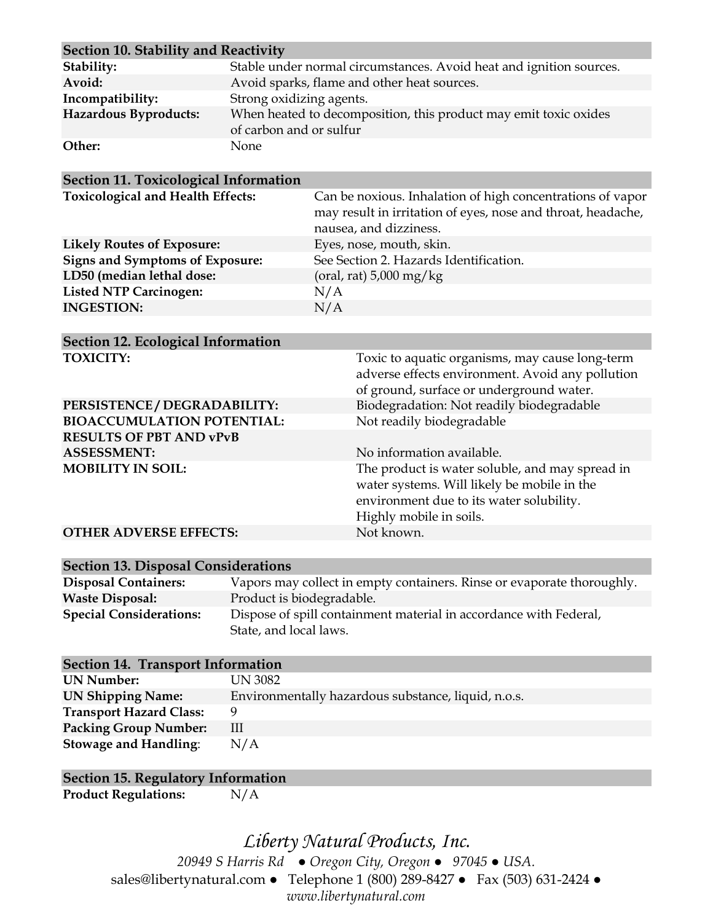| Section 10. Stability and Reactivity |                                                                                             |  |
|--------------------------------------|---------------------------------------------------------------------------------------------|--|
| Stability:                           | Stable under normal circumstances. Avoid heat and ignition sources.                         |  |
| Avoid:                               | Avoid sparks, flame and other heat sources.                                                 |  |
| Incompatibility:                     | Strong oxidizing agents.                                                                    |  |
| Hazardous Byproducts:                | When heated to decomposition, this product may emit toxic oxides<br>of carbon and or sulfur |  |
| Other:                               | <b>None</b>                                                                                 |  |

| Can be noxious. Inhalation of high concentrations of vapor<br>may result in irritation of eyes, nose and throat, headache,<br>nausea, and dizziness. |
|------------------------------------------------------------------------------------------------------------------------------------------------------|
| Eyes, nose, mouth, skin.                                                                                                                             |
| See Section 2. Hazards Identification.                                                                                                               |
| (oral, rat) $5,000 \text{ mg/kg}$                                                                                                                    |
| N/A                                                                                                                                                  |
| N/A                                                                                                                                                  |
|                                                                                                                                                      |

| <b>Section 12. Ecological Information</b> |                                                                                                                                                                       |
|-------------------------------------------|-----------------------------------------------------------------------------------------------------------------------------------------------------------------------|
| <b>TOXICITY:</b>                          | Toxic to aquatic organisms, may cause long-term<br>adverse effects environment. Avoid any pollution<br>of ground, surface or underground water.                       |
| PERSISTENCE / DEGRADABILITY:              | Biodegradation: Not readily biodegradable                                                                                                                             |
| <b>BIOACCUMULATION POTENTIAL:</b>         | Not readily biodegradable                                                                                                                                             |
| <b>RESULTS OF PBT AND vPvB</b>            |                                                                                                                                                                       |
| <b>ASSESSMENT:</b>                        | No information available.                                                                                                                                             |
| <b>MOBILITY IN SOIL:</b>                  | The product is water soluble, and may spread in<br>water systems. Will likely be mobile in the<br>environment due to its water solubility.<br>Highly mobile in soils. |
| <b>OTHER ADVERSE EFFECTS:</b>             | Not known.                                                                                                                                                            |

| <b>Section 13. Disposal Considerations</b> |                                                                        |  |
|--------------------------------------------|------------------------------------------------------------------------|--|
| <b>Disposal Containers:</b>                | Vapors may collect in empty containers. Rinse or evaporate thoroughly. |  |
| <b>Waste Disposal:</b>                     | Product is biodegradable.                                              |  |
| <b>Special Considerations:</b>             | Dispose of spill containment material in accordance with Federal,      |  |
|                                            | State, and local laws.                                                 |  |

| <b>Section 14. Transport Information</b> |                                                     |  |  |
|------------------------------------------|-----------------------------------------------------|--|--|
| <b>UN Number:</b>                        | UN 3082                                             |  |  |
| <b>UN Shipping Name:</b>                 | Environmentally hazardous substance, liquid, n.o.s. |  |  |
| <b>Transport Hazard Class:</b>           | 9                                                   |  |  |
| <b>Packing Group Number:</b>             | Ш                                                   |  |  |
| <b>Stowage and Handling:</b>             | N/A                                                 |  |  |

## **Section 15. Regulatory Information**

**Product Regulations:** N/A

*Liberty Natural Products, Inc. 20949 S Harris Rd ● Oregon City, Oregon ● 97045 ● USA.* 

sales@libertynatural.com *●* Telephone 1 (800) 289-8427 ● Fax (503) 631-2424 *●*

*www.libertynatural.com*